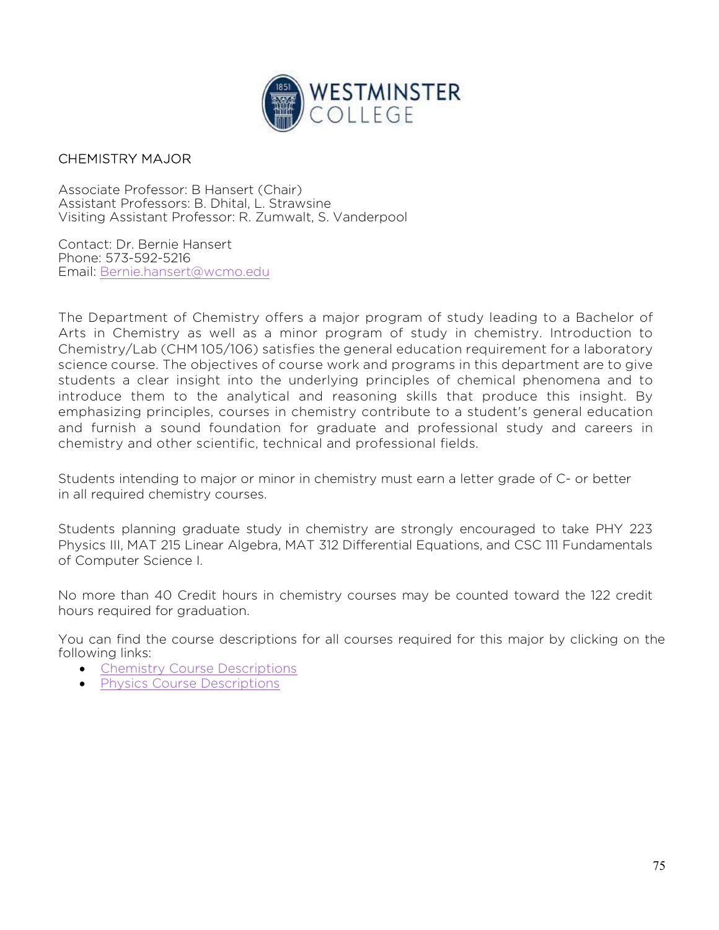

## CHEMISTRY MAJOR

Associate Professor: B Hansert (Chair) Assistant Professors: B. Dhital, L. Strawsine Visiting Assistant Professor: R. Zumwalt, S. Vanderpool

Contact: Dr. Bernie Hansert Phone: 573-592-5216 Email: Bernie.hansert@wcmo.edu

The Department of Chemistry offers a major program of study leading to a Bachelor of Arts in Chemistry as well as a minor program of study in chemistry. Introduction to Chemistry/Lab (CHM 105/106) satisfies the general education requirement for a laboratory science course. The objectives of course work and programs in this department are to give students a clear insight into the underlying principles of chemical phenomena and to introduce them to the analytical and reasoning skills that produce this insight. By emphasizing principles, courses in chemistry contribute to a student's general education and furnish a sound foundation for graduate and professional study and careers in chemistry and other scientific, technical and professional fields.

Students intending to major or minor in chemistry must earn a letter grade of C- or better in all required chemistry courses.

Students planning graduate study in chemistry are strongly encouraged to take PHY 223 Physics III, MAT 215 Linear Algebra, MAT 312 Differential Equations, and CSC 111 Fundamentals of Computer Science I.

No more than 40 Credit hours in chemistry courses may be counted toward the 122 credit hours required for graduation.

You can find the course descriptions for all courses required for this major by clicking on the following links:

- Chemistry Course Descriptions
- **•** Physics Course Descriptions